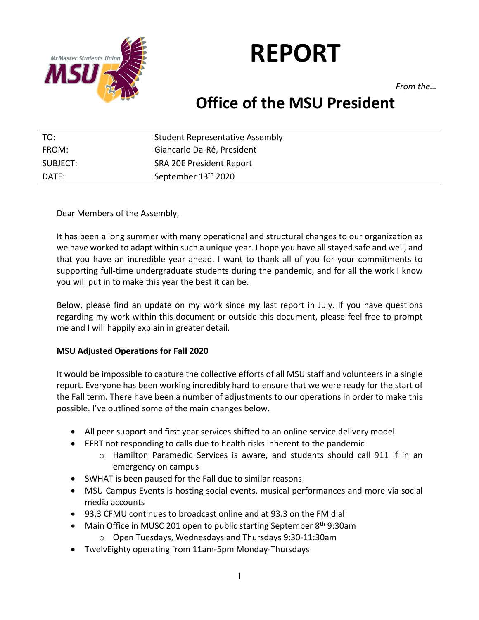

# **REPORT**

*From the…*

# **Office of the MSU President**

| TO:      | <b>Student Representative Assembly</b> |
|----------|----------------------------------------|
| FROM:    | Giancarlo Da-Ré, President             |
| SUBJECT: | <b>SRA 20E President Report</b>        |
| DATE:    | September 13 <sup>th</sup> 2020        |

Dear Members of the Assembly,

It has been a long summer with many operational and structural changes to our organization as we have worked to adapt within such a unique year. I hope you have all stayed safe and well, and that you have an incredible year ahead. I want to thank all of you for your commitments to supporting full-time undergraduate students during the pandemic, and for all the work I know you will put in to make this year the best it can be.

Below, please find an update on my work since my last report in July. If you have questions regarding my work within this document or outside this document, please feel free to prompt me and I will happily explain in greater detail.

### **MSU Adjusted Operations for Fall 2020**

It would be impossible to capture the collective efforts of all MSU staff and volunteers in a single report. Everyone has been working incredibly hard to ensure that we were ready for the start of the Fall term. There have been a number of adjustments to our operations in order to make this possible. I've outlined some of the main changes below.

- All peer support and first year services shifted to an online service delivery model
- EFRT not responding to calls due to health risks inherent to the pandemic
	- o Hamilton Paramedic Services is aware, and students should call 911 if in an emergency on campus
- SWHAT is been paused for the Fall due to similar reasons
- MSU Campus Events is hosting social events, musical performances and more via social media accounts
- 93.3 CFMU continues to broadcast online and at 93.3 on the FM dial
- Main Office in MUSC 201 open to public starting September  $8<sup>th</sup>$  9:30am
	- o Open Tuesdays, Wednesdays and Thursdays 9:30-11:30am
- TwelvEighty operating from 11am-5pm Monday-Thursdays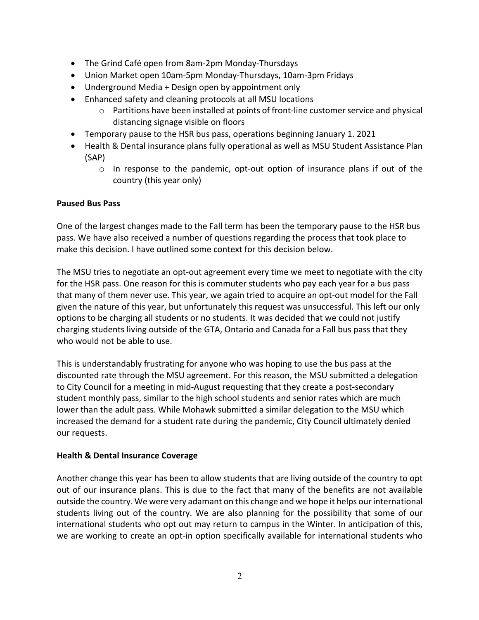- The Grind Café open from 8am-2pm Monday-Thursdays
- Union Market open 10am-5pm Monday-Thursdays, 10am-3pm Fridays
- Underground Media + Design open by appointment only
- Enhanced safety and cleaning protocols at all MSU locations
	- $\circ$  Partitions have been installed at points of front-line customer service and physical distancing signage visible on floors
- Temporary pause to the HSR bus pass, operations beginning January 1. 2021
- Health & Dental insurance plans fully operational as well as MSU Student Assistance Plan (SAP)
	- $\circ$  In response to the pandemic, opt-out option of insurance plans if out of the country (this year only)

# **Paused Bus Pass**

One of the largest changes made to the Fall term has been the temporary pause to the HSR bus pass. We have also received a number of questions regarding the process that took place to make this decision. I have outlined some context for this decision below.

The MSU tries to negotiate an opt-out agreement every time we meet to negotiate with the city for the HSR pass. One reason for this is commuter students who pay each year for a bus pass that many of them never use. This year, we again tried to acquire an opt-out model for the Fall given the nature of this year, but unfortunately this request was unsuccessful. This left our only options to be charging all students or no students. It was decided that we could not justify charging students living outside of the GTA, Ontario and Canada for a Fall bus pass that they who would not be able to use.

This is understandably frustrating for anyone who was hoping to use the bus pass at the discounted rate through the MSU agreement. For this reason, the MSU submitted a delegation to City Council for a meeting in mid-August requesting that they create a post-secondary student monthly pass, similar to the high school students and senior rates which are much lower than the adult pass. While Mohawk submitted a similar delegation to the MSU which increased the demand for a student rate during the pandemic, City Council ultimately denied our requests.

### **Health & Dental Insurance Coverage**

Another change this year has been to allow students that are living outside of the country to opt out of our insurance plans. This is due to the fact that many of the benefits are not available outside the country. We were very adamant on this change and we hope it helps our international students living out of the country. We are also planning for the possibility that some of our international students who opt out may return to campus in the Winter. In anticipation of this, we are working to create an opt-in option specifically available for international students who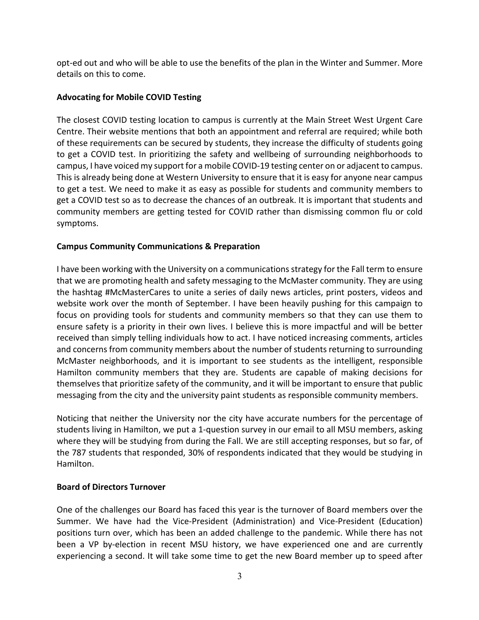opt-ed out and who will be able to use the benefits of the plan in the Winter and Summer. More details on this to come.

#### **Advocating for Mobile COVID Testing**

The closest COVID testing location to campus is currently at the Main Street West Urgent Care Centre. Their website mentions that both an appointment and referral are required; while both of these requirements can be secured by students, they increase the difficulty of students going to get a COVID test. In prioritizing the safety and wellbeing of surrounding neighborhoods to campus, I have voiced my support for a mobile COVID-19 testing center on or adjacent to campus. This is already being done at Western University to ensure that it is easy for anyone near campus to get a test. We need to make it as easy as possible for students and community members to get a COVID test so as to decrease the chances of an outbreak. It is important that students and community members are getting tested for COVID rather than dismissing common flu or cold symptoms.

#### **Campus Community Communications & Preparation**

I have been working with the University on a communications strategy for the Fall term to ensure that we are promoting health and safety messaging to the McMaster community. They are using the hashtag #McMasterCares to unite a series of daily news articles, print posters, videos and website work over the month of September. I have been heavily pushing for this campaign to focus on providing tools for students and community members so that they can use them to ensure safety is a priority in their own lives. I believe this is more impactful and will be better received than simply telling individuals how to act. I have noticed increasing comments, articles and concerns from community members about the number of students returning to surrounding McMaster neighborhoods, and it is important to see students as the intelligent, responsible Hamilton community members that they are. Students are capable of making decisions for themselves that prioritize safety of the community, and it will be important to ensure that public messaging from the city and the university paint students as responsible community members.

Noticing that neither the University nor the city have accurate numbers for the percentage of students living in Hamilton, we put a 1-question survey in our email to all MSU members, asking where they will be studying from during the Fall. We are still accepting responses, but so far, of the 787 students that responded, 30% of respondents indicated that they would be studying in Hamilton.

### **Board of Directors Turnover**

One of the challenges our Board has faced this year is the turnover of Board members over the Summer. We have had the Vice-President (Administration) and Vice-President (Education) positions turn over, which has been an added challenge to the pandemic. While there has not been a VP by-election in recent MSU history, we have experienced one and are currently experiencing a second. It will take some time to get the new Board member up to speed after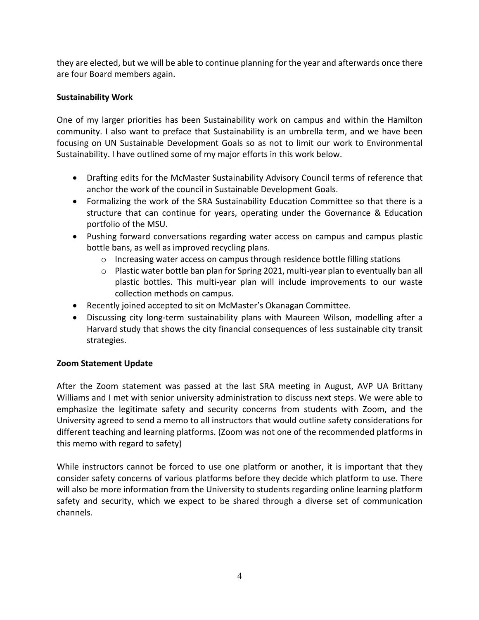they are elected, but we will be able to continue planning for the year and afterwards once there are four Board members again.

## **Sustainability Work**

One of my larger priorities has been Sustainability work on campus and within the Hamilton community. I also want to preface that Sustainability is an umbrella term, and we have been focusing on UN Sustainable Development Goals so as not to limit our work to Environmental Sustainability. I have outlined some of my major efforts in this work below.

- Drafting edits for the McMaster Sustainability Advisory Council terms of reference that anchor the work of the council in Sustainable Development Goals.
- Formalizing the work of the SRA Sustainability Education Committee so that there is a structure that can continue for years, operating under the Governance & Education portfolio of the MSU.
- Pushing forward conversations regarding water access on campus and campus plastic bottle bans, as well as improved recycling plans.
	- o Increasing water access on campus through residence bottle filling stations
	- o Plastic water bottle ban plan for Spring 2021, multi-year plan to eventually ban all plastic bottles. This multi-year plan will include improvements to our waste collection methods on campus.
- Recently joined accepted to sit on McMaster's Okanagan Committee.
- Discussing city long-term sustainability plans with Maureen Wilson, modelling after a Harvard study that shows the city financial consequences of less sustainable city transit strategies.

### **Zoom Statement Update**

After the Zoom statement was passed at the last SRA meeting in August, AVP UA Brittany Williams and I met with senior university administration to discuss next steps. We were able to emphasize the legitimate safety and security concerns from students with Zoom, and the University agreed to send a memo to all instructors that would outline safety considerations for different teaching and learning platforms. (Zoom was not one of the recommended platforms in this memo with regard to safety)

While instructors cannot be forced to use one platform or another, it is important that they consider safety concerns of various platforms before they decide which platform to use. There will also be more information from the University to students regarding online learning platform safety and security, which we expect to be shared through a diverse set of communication channels.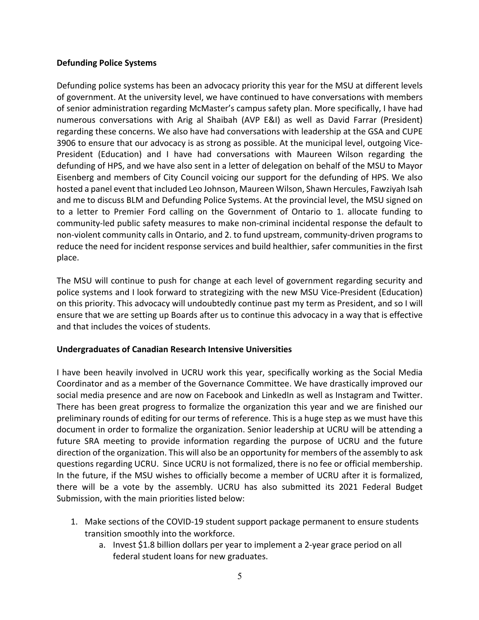#### **Defunding Police Systems**

Defunding police systems has been an advocacy priority this year for the MSU at different levels of government. At the university level, we have continued to have conversations with members of senior administration regarding McMaster's campus safety plan. More specifically, I have had numerous conversations with Arig al Shaibah (AVP E&I) as well as David Farrar (President) regarding these concerns. We also have had conversations with leadership at the GSA and CUPE 3906 to ensure that our advocacy is as strong as possible. At the municipal level, outgoing Vice-President (Education) and I have had conversations with Maureen Wilson regarding the defunding of HPS, and we have also sent in a letter of delegation on behalf of the MSU to Mayor Eisenberg and members of City Council voicing our support for the defunding of HPS. We also hosted a panel event that included Leo Johnson, Maureen Wilson, Shawn Hercules, Fawziyah Isah and me to discuss BLM and Defunding Police Systems. At the provincial level, the MSU signed on to a letter to Premier Ford calling on the Government of Ontario to 1. allocate funding to community-led public safety measures to make non-criminal incidental response the default to non-violent community calls in Ontario, and 2. to fund upstream, community-driven programs to reduce the need for incident response services and build healthier, safer communities in the first place.

The MSU will continue to push for change at each level of government regarding security and police systems and I look forward to strategizing with the new MSU Vice-President (Education) on this priority. This advocacy will undoubtedly continue past my term as President, and so I will ensure that we are setting up Boards after us to continue this advocacy in a way that is effective and that includes the voices of students.

### **Undergraduates of Canadian Research Intensive Universities**

I have been heavily involved in UCRU work this year, specifically working as the Social Media Coordinator and as a member of the Governance Committee. We have drastically improved our social media presence and are now on Facebook and LinkedIn as well as Instagram and Twitter. There has been great progress to formalize the organization this year and we are finished our preliminary rounds of editing for our terms of reference. This is a huge step as we must have this document in order to formalize the organization. Senior leadership at UCRU will be attending a future SRA meeting to provide information regarding the purpose of UCRU and the future direction of the organization. This will also be an opportunity for members of the assembly to ask questions regarding UCRU. Since UCRU is not formalized, there is no fee or official membership. In the future, if the MSU wishes to officially become a member of UCRU after it is formalized, there will be a vote by the assembly. UCRU has also submitted its 2021 Federal Budget Submission, with the main priorities listed below:

- 1. Make sections of the COVID-19 student support package permanent to ensure students transition smoothly into the workforce.
	- a. Invest \$1.8 billion dollars per year to implement a 2-year grace period on all federal student loans for new graduates.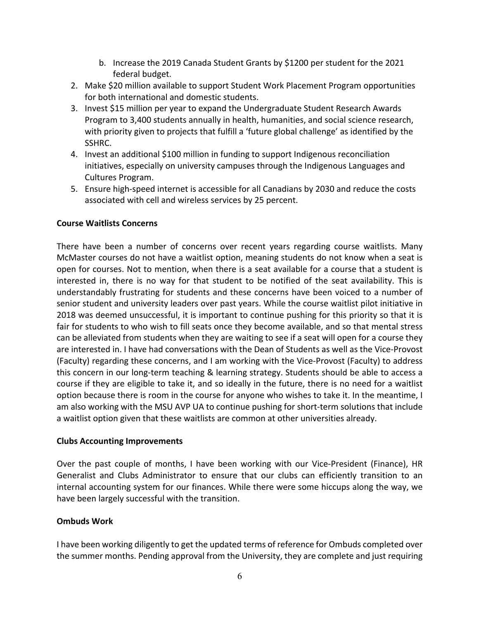- b. Increase the 2019 Canada Student Grants by \$1200 per student for the 2021 federal budget.
- 2. Make \$20 million available to support Student Work Placement Program opportunities for both international and domestic students.
- 3. Invest \$15 million per year to expand the Undergraduate Student Research Awards Program to 3,400 students annually in health, humanities, and social science research, with priority given to projects that fulfill a 'future global challenge' as identified by the SSHRC.
- 4. Invest an additional \$100 million in funding to support Indigenous reconciliation initiatives, especially on university campuses through the Indigenous Languages and Cultures Program.
- 5. Ensure high-speed internet is accessible for all Canadians by 2030 and reduce the costs associated with cell and wireless services by 25 percent.

### **Course Waitlists Concerns**

There have been a number of concerns over recent years regarding course waitlists. Many McMaster courses do not have a waitlist option, meaning students do not know when a seat is open for courses. Not to mention, when there is a seat available for a course that a student is interested in, there is no way for that student to be notified of the seat availability. This is understandably frustrating for students and these concerns have been voiced to a number of senior student and university leaders over past years. While the course waitlist pilot initiative in 2018 was deemed unsuccessful, it is important to continue pushing for this priority so that it is fair for students to who wish to fill seats once they become available, and so that mental stress can be alleviated from students when they are waiting to see if a seat will open for a course they are interested in. I have had conversations with the Dean of Students as well as the Vice-Provost (Faculty) regarding these concerns, and I am working with the Vice-Provost (Faculty) to address this concern in our long-term teaching & learning strategy. Students should be able to access a course if they are eligible to take it, and so ideally in the future, there is no need for a waitlist option because there is room in the course for anyone who wishes to take it. In the meantime, I am also working with the MSU AVP UA to continue pushing for short-term solutions that include a waitlist option given that these waitlists are common at other universities already.

### **Clubs Accounting Improvements**

Over the past couple of months, I have been working with our Vice-President (Finance), HR Generalist and Clubs Administrator to ensure that our clubs can efficiently transition to an internal accounting system for our finances. While there were some hiccups along the way, we have been largely successful with the transition.

### **Ombuds Work**

I have been working diligently to get the updated terms of reference for Ombuds completed over the summer months. Pending approval from the University, they are complete and just requiring